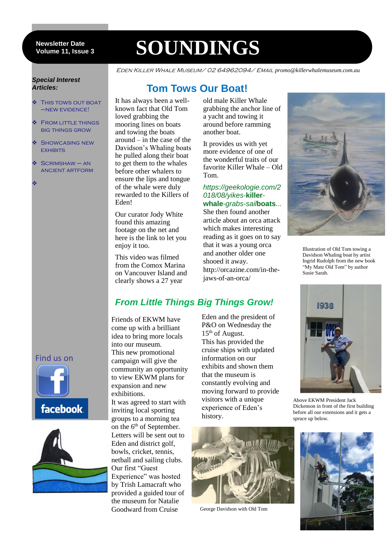#### Wi **Volume 11, Issue 3 Newsletter Date**

# **SOUNDINGS**

Eden Killer Whale Museum/ 02 64962094/ Email *promo@killerwhalemuseum.com.au*

#### *Special Interest Articles:*

- This tows out boat –new evidence!
- $\div$  FROM LITTLE THINGS big things grow
- **❖ SHOWCASING NEW EXHIBITS**
- $\div$  SCRIMSHAW AN ancient artform

#### ٠

# **Tom Tows Our Boat!**

*From Little Things Big Things Grow!*

It has always been a wellknown fact that Old Tom loved grabbing the mooring lines on boats and towing the boats  $around - in the case of the$ Davidson's Whaling boats he pulled along their boat to get them to the whales before other whalers to ensure the lips and tongue of the whale were duly rewarded to the Killers of Eden!

Our curator Jody White found this amazing footage on the net and here is the link to let you enjoy it too.

This video was filmed from the Comox Marina on Vancouver Island and clearly shows a 27 year

Friends of EKWM have

old male Killer Whale grabbing the anchor line of a yacht and towing it around before ramming another boat.

It provides us with yet more evidence of one of the wonderful traits of our favorite Killer Whale – Old Tom.

## *https://geekologie.com/2 018/08/yikes-***killer***-*

**whale***-grabs-sail***boats***..[.](https://www.bing.com/search?q=killer+whales+towing+boats&form=PRAUEN&httpsmsn=1&refig=21de15f6d32441f2af5417357ca7b04d&sp=-1&pq=killer+whales+towing+boats&sc=0-26&qs=n&sk=&cvid=21de15f6d32441f2af5417357ca7b04d)* She then found another article about an orca attack which makes interesting reading as it goes on to say that it was a young orca and another older one shooed it away. http://orcazine.com/in-thejaws-of-an-orca/



Illustration of Old Tom towing a Davidson Whaling boat by artist Ingrid Rudolph from the new book "My Mate Old Tom" by author Susie Sarah.



Above EKWM President Jack Dickenson in front of the first building before all our extensions and it gets a spruce up below.



facebook.

come up with a brilliant idea to bring more locals into our museum. This new promotional campaign will give the community an opportunity to view EKWM plans for expansion and new exhibitions. It was agreed to start with inviting local sporting groups to a morning tea on the  $6<sup>th</sup>$  of September. Letters will be sent out to Eden and district golf, bowls, cricket, tennis, netball and sailing clubs. Our first "Guest Experience" was hosted by Trish Lamacraft who provided a guided tour of the museum for Natalie Goodward from Cruise

Eden and the president of P&O on Wednesday the 15<sup>th</sup> of August. This has provided the cruise ships with updated information on our exhibits and shown them that the museum is constantly evolving and moving forward to provide visitors with a unique experience of Eden's history.



George Davidson with Old Tom





# Find us on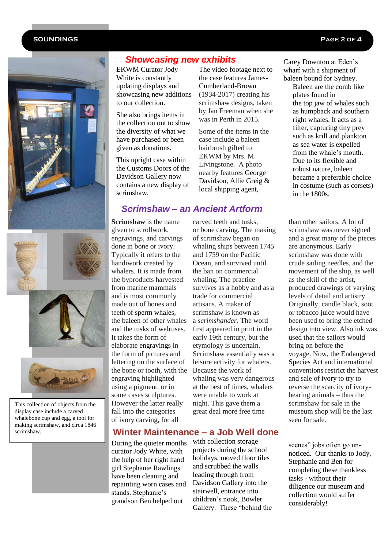#### **SOUNDINGS Page 2 of 4**









This collection of objects from the display case include a carved whalebone cup and egg, a tool for making scrimshaw, and circa 1846 scrimshaw.

## *Showcasing new exhibits*

EKWM Curator Jody White is constantly updating displays and showcasing new additions to our collection.

She also brings items in the collection out to show the diversity of what we have purchased or been given as donations.

This upright case within the Customs Doors of the Davidson Gallery now contains a new display of scrimshaw.

*Scrimshaw – an Ancient Artform*

**Scrimshaw** is the name given to scrollwork, engravings, and carvings done in bone or ivory. Typically it refers to the handiwork created by whalers. It is made from the byproducts harvested from marine mammals and is most commonly made out of bones and teeth of sperm whales, the baleen of other whales and the tusks of walruses. It takes the form of elaborate engravings in the form of pictures and lettering on the surface of the bone or tooth, with the engraving highlighted using a pigment, or in some cases sculptures. However the latter really fall into the categories of ivory carving, for all

The video footage next to the case features James-Cumberland-Brown (1934-2017) creating his scrimshaw designs, taken by Jan Freeman when she was in Perth in 2015.

Some of the items in the case include a baleen hairbrush gifted to EKWM by Mrs. M Livingstone. A photo nearby features George Davidson, Allie Greig & local shipping agent,

carved teeth and tusks, or bone carving. The making of scrimshaw began on whaling ships between 1745 and 1759 on the Pacific Ocean, and survived until the ban on commercial whaling. The practice survives as a hobby and as a trade for commercial artisans. A maker of scrimshaw is known as a *scrimshander*. The word first appeared in print in the early 19th century, but the etymology is uncertain. Scrimshaw essentially was a leisure activity for whalers. Because the work of whaling was very dangerous at the best of times, whalers were unable to work at night. This gave them a great deal more free time

### **Winter Maintenance – a Job Well done**

During the quieter months curator Jody White, with the help of her right hand girl Stephanie Rawlings have been cleaning and repainting worn cases and stands. Stephanie's grandson Ben helped out

with collection storage projects during the school holidays, moved floor tiles and scrubbed the walls leading through from Davidson Gallery into the stairwell, entrance into children's nook, Bowler Gallery. These "behind the Carey Downton at Eden's wharf with a shipment of baleen bound for Sydney.

> Baleen are the comb like plates found in the top jaw of whales such as humpback and southern right whales. It acts as a filter, capturing tiny prey such as krill and plankton as sea water is expelled from the whale's mouth. Due to its flexible and robust nature, baleen became a preferable choice in costume (such as corsets) in the 1800s.

than other sailors. A lot of scrimshaw was never signed and a great many of the pieces are anonymous. Early scrimshaw was done with crude sailing needles, and the movement of the ship, as well as the skill of the artist, produced drawings of varying levels of detail and artistry. Originally, candle black, soot or tobacco juice would have been used to bring the etched design into view. Also ink was used that the sailors would bring on before the voyage. Now, the Endangered Species Act and international conventions restrict the harvest and sale of ivory to try to reverse the scarcity of ivorybearing animals – thus the scrimshaw for sale in the museum shop will be the last seen for sale.

scenes" jobs often go unnoticed. Our thanks to Jody, Stephanie and Ben for completing these thankless tasks - without their diligence our museum and collection would suffer considerably!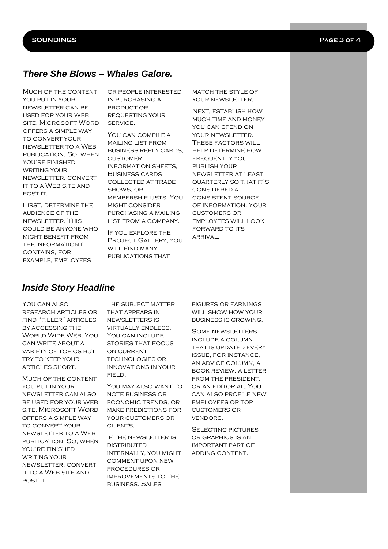## *There She Blows – Whales Galore.*

Much of the content you put in your newsletter can be used for your Web site. Microsoft Word offers a simple way TO CONVERT YOUR newsletter to a Web publication. So, when YOU'RE FINISHED WRITING YOUR newsletter, convert it to a Web site and POST IT.

First, determine the audience of the newsletter. This could be anyone who might benefit from the information it contains, for example, employees

or people interested in purchasing a product or requesting your **SERVICE** 

YOU CAN COMPILE A mailing list from business reply cards, **CUSTOMER** information sheets, Business cards collected at trade shows, or membership lists. You might consider purchasing a mailing list from a company.

If you explore the Project Gallery, you WILL FIND MANY publications that

MATCH THE STYLE OF YOUR NEWSLETTER.

Next, establish how much time and money you can spend on YOUR NEWSLETTER. These factors will help determine how frequently you publish your newsletter at least quarterly so that it's considered a consistent source of information. Your customers or employees will look forward to its arrival.

## *Inside Story Headline*

YOU CAN ALSO research articles or find "filler" articles by accessing the World Wide Web. You can write about a variety of topics but try to keep your articles short.

Much of the content you put in your newsletter can also be used for your Web site. Microsoft Word offers a simple way to convert your newsletter to a Web publication. So, when YOU'RE FINISHED **WRITING YOUR** newsletter, convert it to a Web site and post it.

The subject matter that appears in newsletters is virtually endless. YOU CAN INCLUDE stories that focus ON CURRENT technologies or innovations in your FIELD.

YOU MAY ALSO WANT TO note business or economic trends, or make predictions for your customers or clients.

If the newsletter is **DISTRIBUTED** internally, you might comment upon new procedures or improvements to the business. Sales

figures or earnings WILL SHOW HOW YOUR business is growing.

SOME NEWSLETTERS include a column THAT IS UPDATED EVERY issue, for instance, an advice column, a book review, a letter from the president, or an editorial. You can also profile new employees or top customers or vendors.

SELECTING PICTURES or graphics is an important part of adding content.